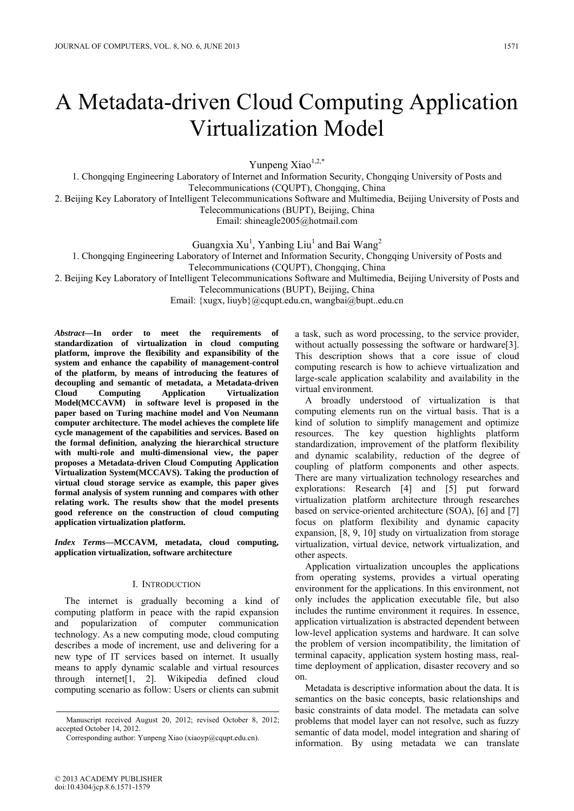# A Metadata-driven Cloud Computing Application Virtualization Model

Yunpeng Xiao<sup>1,2,\*</sup>

1. Chongqing Engineering Laboratory of Internet and Information Security, Chongqing University of Posts and Telecommunications (CQUPT), Chongqing, China

2. Beijing Key Laboratory of Intelligent Telecommunications Software and Multimedia, Beijing University of Posts and

Telecommunications (BUPT), Beijing, China

Email: shineagle2005@hotmail.com

Guangxia Xu<sup>1</sup>, Yanbing Liu<sup>1</sup> and Bai Wang<sup>2</sup>

1. Chongqing Engineering Laboratory of Internet and Information Security, Chongqing University of Posts and

Telecommunications (CQUPT), Chongqing, China

2. Beijing Key Laboratory of Intelligent Telecommunications Software and Multimedia, Beijing University of Posts and

Telecommunications (BUPT), Beijing, China

Email: {xugx, liuyb}@cqupt.edu.cn, wangbai@bupt..edu.cn

*Abstract***—In order to meet the requirements of standardization of virtualization in cloud computing platform, improve the flexibility and expansibility of the system and enhance the capability of management-control of the platform, by means of introducing the features of decoupling and semantic of metadata, a Metadata-driven Cloud Computing Application Virtualization Model(MCCAVM) in software level is proposed in the paper based on Turing machine model and Von Neumann computer architecture. The model achieves the complete life cycle management of the capabilities and services. Based on the formal definition, analyzing the hierarchical structure with multi-role and multi-dimensional view, the paper proposes a Metadata-driven Cloud Computing Application Virtualization System(MCCAVS). Taking the production of virtual cloud storage service as example, this paper gives formal analysis of system running and compares with other relating work. The results show that the model presents good reference on the construction of cloud computing application virtualization platform.** 

*Index Terms***—MCCAVM, metadata, cloud computing, application virtualization, software architecture** 

# I. INTRODUCTION

The internet is gradually becoming a kind of computing platform in peace with the rapid expansion and popularization of computer communication technology. As a new computing mode, cloud computing describes a mode of increment, use and delivering for a new type of IT services based on internet. It usually means to apply dynamic scalable and virtual resources through internet[1, 2]. Wikipedia defined cloud computing scenario as follow: Users or clients can submit a task, such as word processing, to the service provider, without actually possessing the software or hardware[3]. This description shows that a core issue of cloud computing research is how to achieve virtualization and large-scale application scalability and availability in the virtual environment.

A broadly understood of virtualization is that computing elements run on the virtual basis. That is a kind of solution to simplify management and optimize resources. The key question highlights platform standardization, improvement of the platform flexibility and dynamic scalability, reduction of the degree of coupling of platform components and other aspects. There are many virtualization technology researches and explorations: Research [4] and [5] put forward virtualization platform architecture through researches based on service-oriented architecture (SOA), [6] and [7] focus on platform flexibility and dynamic capacity expansion, [8, 9, 10] study on virtualization from storage virtualization, virtual device, network virtualization, and other aspects.

Application virtualization uncouples the applications from operating systems, provides a virtual operating environment for the applications. In this environment, not only includes the application executable file, but also includes the runtime environment it requires. In essence, application virtualization is abstracted dependent between low-level application systems and hardware. It can solve the problem of version incompatibility, the limitation of terminal capacity, application system hosting mass, realtime deployment of application, disaster recovery and so on.

Metadata is descriptive information about the data. It is semantics on the basic concepts, basic relationships and basic constraints of data model. The metadata can solve problems that model layer can not resolve, such as fuzzy semantic of data model, model integration and sharing of information. By using metadata we can translate

Manuscript received August 20, 2012; revised October 8, 2012; accepted October 14, 2012.

Corresponding author: Yunpeng Xiao (xiaoyp@cqupt.edu.cn).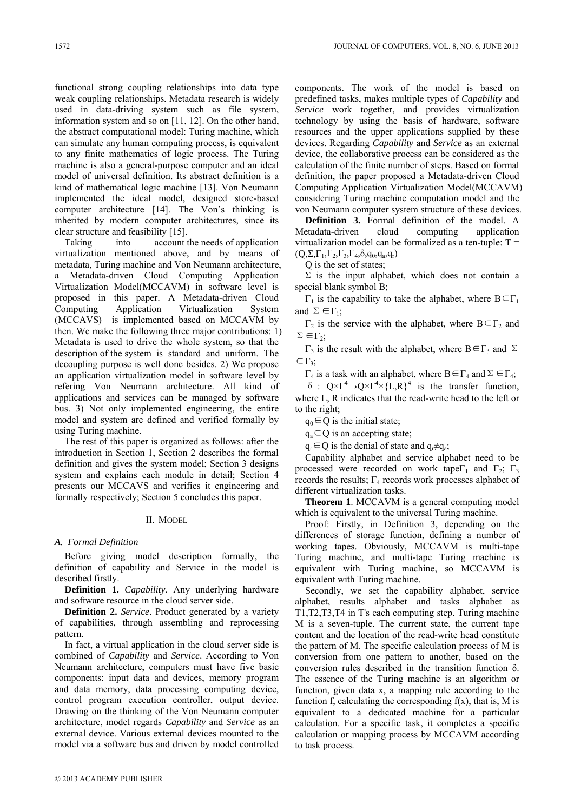functional strong coupling relationships into data type weak coupling relationships. Metadata research is widely used in data-driving system such as file system, information system and so on [11, 12]. On the other hand, the abstract computational model: Turing machine, which can simulate any human computing process, is equivalent to any finite mathematics of logic process. The Turing machine is also a general-purpose computer and an ideal model of universal definition. Its abstract definition is a kind of mathematical logic machine [13]. Von Neumann implemented the ideal model, designed store-based computer architecture [14]. The Von's thinking is inherited by modern computer architectures, since its clear structure and feasibility [15].

Taking into account the needs of application virtualization mentioned above, and by means of metadata, Turing machine and Von Neumann architecture, a Metadata-driven Cloud Computing Application Virtualization Model(MCCAVM) in software level is proposed in this paper. A Metadata-driven Cloud Computing Application Virtualization System (MCCAVS) is implemented based on MCCAVM by then. We make the following three major contributions: 1) Metadata is used to drive the whole system, so that the description of the system is standard and uniform. The decoupling purpose is well done besides. 2) We propose an application virtualization model in software level by refering Von Neumann architecture. All kind of applications and services can be managed by software bus. 3) Not only implemented engineering, the entire model and system are defined and verified formally by using Turing machine.

The rest of this paper is organized as follows: after the introduction in Section 1, Section 2 describes the formal definition and gives the system model; Section 3 designs system and explains each module in detail; Section 4 presents our MCCAVS and verifies it engineering and formally respectively; Section 5 concludes this paper.

### II. MODEL

# *A. Formal Definition*

Before giving model description formally, the definition of capability and Service in the model is described firstly.

**Definition 1.** *Capability*. Any underlying hardware and software resource in the cloud server side.

**Definition 2.** *Service*. Product generated by a variety of capabilities, through assembling and reprocessing pattern.

In fact, a virtual application in the cloud server side is combined of *Capability* and *Service*. According to Von Neumann architecture, computers must have five basic components: input data and devices, memory program and data memory, data processing computing device, control program execution controller, output device. Drawing on the thinking of the Von Neumann computer architecture, model regards *Capability* and *Service* as an external device. Various external devices mounted to the model via a software bus and driven by model controlled

components. The work of the model is based on predefined tasks, makes multiple types of *Capability* and *Service* work together, and provides virtualization technology by using the basis of hardware, software resources and the upper applications supplied by these devices. Regarding *Capability* and *Service* as an external device, the collaborative process can be considered as the calculation of the finite number of steps. Based on formal definition, the paper proposed a Metadata-driven Cloud Computing Application Virtualization Model(MCCAVM) considering Turing machine computation model and the von Neumann computer system structure of these devices.

**Definition 3.** Formal definition of the model. A Metadata-driven cloud computing application virtualization model can be formalized as a ten-tuple: T =  $(Q, \Sigma, \Gamma_1, \Gamma_2, \Gamma_3, \Gamma_4, \delta, q_0, q_a, q_r)$ 

Q is the set of states;

 $Σ$  is the input alphabet, which does not contain a special blank symbol B;

 $Γ_1$  is the capability to take the alphabet, where  $B \in Γ_1$ and  $\Sigma \in \Gamma_1$ ;

 $Γ<sub>2</sub>$  is the service with the alphabet, where B∈Γ<sub>2</sub> and  $Σ ∈ Γ<sub>2</sub>;$ 

 $Γ_3$  is the result with the alphabet, where B∈Γ<sub>3</sub> and Σ  $\in \Gamma_3$ ;

 $\Gamma_4$  is a task with an alphabet, where  $B \in \Gamma_4$  and  $\Sigma \in \Gamma_4$ ;

δ :  $Q \times \Gamma^4 \rightarrow Q \times \Gamma^4 \times \{L,R\}^4$  is the transfer function, where L, R indicates that the read-write head to the left or to the right;

 $q_0 \in Q$  is the initial state;

 $q_a \in Q$  is an accepting state;

 $q_r \in Q$  is the denial of state and  $q_r \neq q_a$ ;

Capability alphabet and service alphabet need to be processed were recorded on work tape $\Gamma_1$  and  $\Gamma_2$ ;  $\Gamma_3$ records the results;  $\Gamma_4$  records work processes alphabet of different virtualization tasks.

**Theorem 1**. MCCAVM is a general computing model which is equivalent to the universal Turing machine.

Proof: Firstly, in Definition 3, depending on the differences of storage function, defining a number of working tapes. Obviously, MCCAVM is multi-tape Turing machine, and multi-tape Turing machine is equivalent with Turing machine, so MCCAVM is equivalent with Turing machine.

Secondly, we set the capability alphabet, service alphabet, results alphabet and tasks alphabet as T1,T2,T3,T4 in T's each computing step. Turing machine M is a seven-tuple. The current state, the current tape content and the location of the read-write head constitute the pattern of M. The specific calculation process of M is conversion from one pattern to another, based on the conversion rules described in the transition function δ. The essence of the Turing machine is an algorithm or function, given data x, a mapping rule according to the function f, calculating the corresponding  $f(x)$ , that is, M is equivalent to a dedicated machine for a particular calculation. For a specific task, it completes a specific calculation or mapping process by MCCAVM according to task process.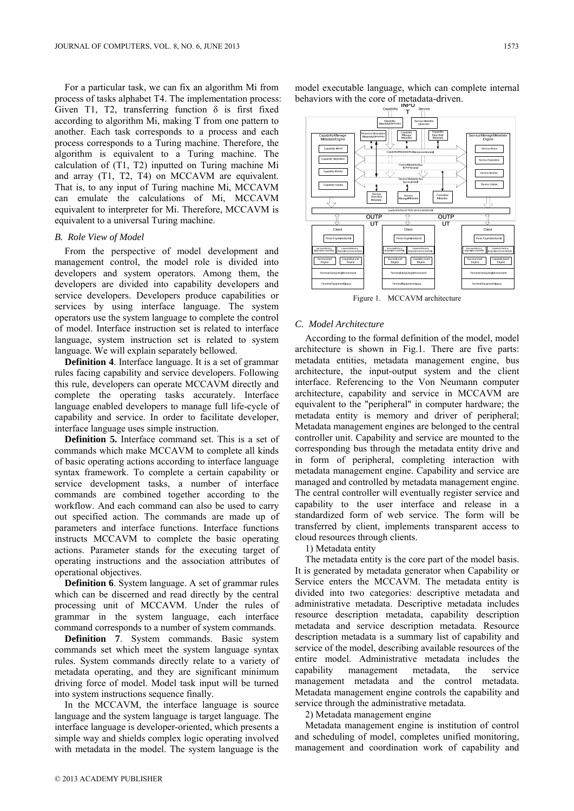For a particular task, we can fix an algorithm Mi from process of tasks alphabet T4. The implementation process: Given T1, T2, transferring function  $\delta$  is first fixed according to algorithm Mi, making T from one pattern to another. Each task corresponds to a process and each process corresponds to a Turing machine. Therefore, the algorithm is equivalent to a Turing machine. The calculation of (T1, T2) inputted on Turing machine Mi and array (T1, T2, T4) on MCCAVM are equivalent. That is, to any input of Turing machine Mi, MCCAVM can emulate the calculations of Mi, MCCAVM equivalent to interpreter for Mi. Therefore, MCCAVM is equivalent to a universal Turing machine.

## *B. Role View of Model*

From the perspective of model development and management control, the model role is divided into developers and system operators. Among them, the developers are divided into capability developers and service developers. Developers produce capabilities or services by using interface language. The system operators use the system language to complete the control of model. Interface instruction set is related to interface language, system instruction set is related to system language. We will explain separately bellowed.

**Definition 4**. Interface language. It is a set of grammar rules facing capability and service developers. Following this rule, developers can operate MCCAVM directly and complete the operating tasks accurately. Interface language enabled developers to manage full life-cycle of capability and service. In order to facilitate developer, interface language uses simple instruction.

**Definition 5.** Interface command set. This is a set of commands which make MCCAVM to complete all kinds of basic operating actions according to interface language syntax framework. To complete a certain capability or service development tasks, a number of interface commands are combined together according to the workflow. And each command can also be used to carry out specified action. The commands are made up of parameters and interface functions. Interface functions instructs MCCAVM to complete the basic operating actions. Parameter stands for the executing target of operating instructions and the association attributes of operational objectives.

**Definition 6**. System language. A set of grammar rules which can be discerned and read directly by the central processing unit of MCCAVM. Under the rules of grammar in the system language, each interface command corresponds to a number of system commands.

**Definition 7**. System commands. Basic system commands set which meet the system language syntax rules. System commands directly relate to a variety of metadata operating, and they are significant minimum driving force of model. Model task input will be turned into system instructions sequence finally.

In the MCCAVM, the interface language is source language and the system language is target language. The interface language is developer-oriented, which presents a simple way and shields complex logic operating involved with metadata in the model. The system language is the

model executable language, which can complete internal behaviors with the core of metadata-driven.



Figure 1. MCCAVM architecture

#### *C. Model Architecture*

According to the formal definition of the model, model architecture is shown in Fig.1. There are five parts: metadata entities, metadata management engine, bus architecture, the input-output system and the client interface. Referencing to the Von Neumann computer architecture, capability and service in MCCAVM are equivalent to the "peripheral" in computer hardware; the metadata entity is memory and driver of peripheral; Metadata management engines are belonged to the central controller unit. Capability and service are mounted to the corresponding bus through the metadata entity drive and in form of peripheral, completing interaction with metadata management engine. Capability and service are managed and controlled by metadata management engine. The central controller will eventually register service and capability to the user interface and release in a standardized form of web service. The form will be transferred by client, implements transparent access to cloud resources through clients.

1) Metadata entity

The metadata entity is the core part of the model basis. It is generated by metadata generator when Capability or Service enters the MCCAVM. The metadata entity is divided into two categories: descriptive metadata and administrative metadata. Descriptive metadata includes resource description metadata, capability description metadata and service description metadata. Resource description metadata is a summary list of capability and service of the model, describing available resources of the entire model. Administrative metadata includes the capability management metadata, the service management metadata and the control metadata. Metadata management engine controls the capability and service through the administrative metadata.

2) Metadata management engine

Metadata management engine is institution of control and scheduling of model, completes unified monitoring, management and coordination work of capability and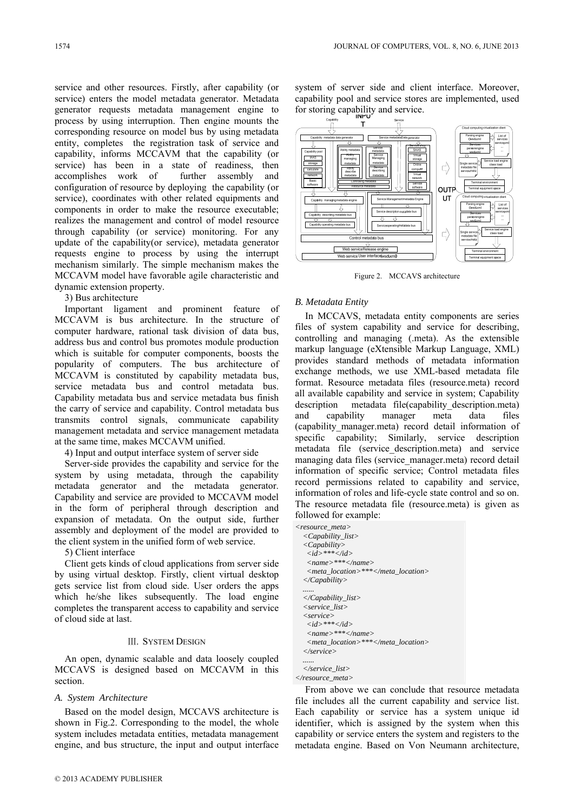service and other resources. Firstly, after capability (or service) enters the model metadata generator. Metadata generator requests metadata management engine to process by using interruption. Then engine mounts the corresponding resource on model bus by using metadata entity, completes the registration task of service and capability, informs MCCAVM that the capability (or service) has been in a state of readiness, then accomplishes work of further assembly and configuration of resource by deploying the capability (or service), coordinates with other related equipments and components in order to make the resource executable; realizes the management and control of model resource through capability (or service) monitoring. For any update of the capability(or service), metadata generator requests engine to process by using the interrupt mechanism similarly. The simple mechanism makes the MCCAVM model have favorable agile characteristic and dynamic extension property.

3) Bus architecture

Important ligament and prominent feature of MCCAVM is bus architecture. In the structure of computer hardware, rational task division of data bus, address bus and control bus promotes module production which is suitable for computer components, boosts the popularity of computers. The bus architecture of MCCAVM is constituted by capability metadata bus, service metadata bus and control metadata bus. Capability metadata bus and service metadata bus finish the carry of service and capability. Control metadata bus transmits control signals, communicate capability management metadata and service management metadata at the same time, makes MCCAVM unified.

4) Input and output interface system of server side

Server-side provides the capability and service for the system by using metadata, through the capability metadata generator and the metadata generator. Capability and service are provided to MCCAVM model in the form of peripheral through description and expansion of metadata. On the output side, further assembly and deployment of the model are provided to the client system in the unified form of web service.

5) Client interface

Client gets kinds of cloud applications from server side by using virtual desktop. Firstly, client virtual desktop gets service list from cloud side. User orders the apps which he/she likes subsequently. The load engine completes the transparent access to capability and service of cloud side at last.

# Ⅲ. SYSTEM DESIGN

An open, dynamic scalable and data loosely coupled MCCAVS is designed based on MCCAVM in this section.

## *A. System Architecture*

Based on the model design, MCCAVS architecture is shown in Fig.2. Corresponding to the model, the whole system includes metadata entities, metadata management engine, and bus structure, the input and output interface

system of server side and client interface. Moreover, capability pool and service stores are implemented, used for storing capability and service.



Figure 2. MCCAVS architecture

#### *B. Metadata Entity*

In MCCAVS, metadata entity components are series files of system capability and service for describing, controlling and managing (.meta). As the extensible markup language (eXtensible Markup Language, XML) provides standard methods of metadata information exchange methods, we use XML-based metadata file format. Resource metadata files (resource.meta) record all available capability and service in system; Capability description metadata file(capability description.meta) and capability manager meta data files (capability\_manager.meta) record detail information of specific capability; Similarly, service description metadata file (service description.meta) and service managing data files (service manager.meta) record detail information of specific service; Control metadata files record permissions related to capability and service, information of roles and life-cycle state control and so on. The resource metadata file (resource.meta) is given as followed for example:

| <resource meta=""></resource>                 |
|-----------------------------------------------|
| <capability_list></capability_list>           |
| $\langle \textit{Capability} \rangle$         |
| $\langle id \rangle^{***} \langle id \rangle$ |
| $<$ name>*** $<$ /name>                       |
| <meta location=""/> ***                       |
| $\langle$ <i>Capability</i>                   |
|                                               |
| $\langle$ <i>Capability_list</i>              |
| $\langle$ service list $\rangle$              |
| $\langle$ service $\rangle$                   |
| $\langle id \rangle$ *** $\langle id \rangle$ |
| $<$ name>*** $<$ /name>                       |
| <meta location=""/> ***                       |
|                                               |
|                                               |
| $\langle$ /service list $\rangle$             |
| $\langle$ resource meta>                      |

From above we can conclude that resource metadata file includes all the current capability and service list. Each capability or service has a system unique id identifier, which is assigned by the system when this capability or service enters the system and registers to the metadata engine. Based on Von Neumann architecture,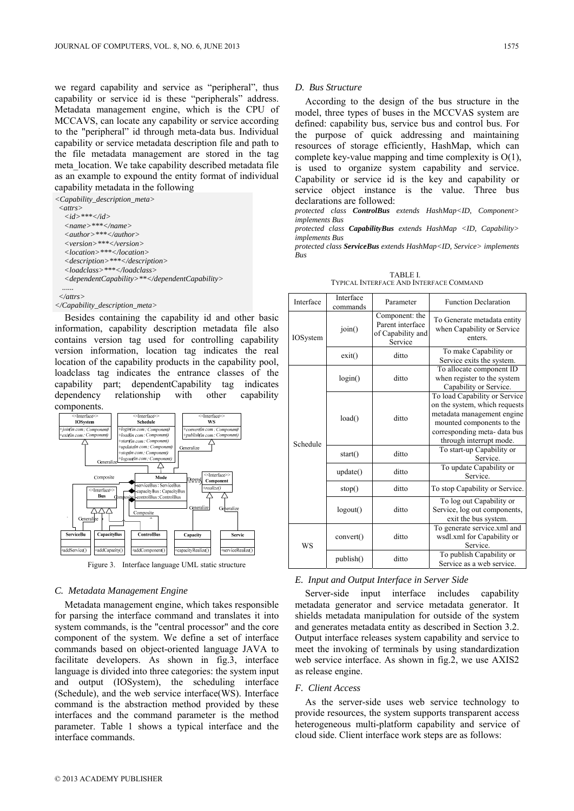we regard capability and service as "peripheral", thus capability or service id is these "peripherals" address. Metadata management engine, which is the CPU of MCCAVS, can locate any capability or service according to the "peripheral" id through meta-data bus. Individual capability or service metadata description file and path to the file metadata management are stored in the tag meta\_location. We take capability described metadata file as an example to expound the entity format of individual capability metadata in the following

*<Capability\_description\_meta> <attrs> <id>\*\*\*</id> <name>\*\*\*</name> <author>\*\*\*</author> <version>\*\*\*</version> <location>\*\*\*</location> <description>\*\*\*</description> <loadclass>\*\*\*</loadclass> <dependentCapability>\*\*</dependentCapability> ......* 

 *</attrs>* 

#### *</Capability\_description\_meta>*

Besides containing the capability id and other basic information, capability description metadata file also contains version tag used for controlling capability version information, location tag indicates the real location of the capability products in the capability pool, loadclass tag indicates the entrance classes of the capability part; dependentCapability tag indicates dependency relationship with other capability components.



Figure 3. Interface language UML static structure

#### *C. Metadata Management Engine*

Metadata management engine, which takes responsible for parsing the interface command and translates it into system commands, is the "central processor" and the core component of the system. We define a set of interface commands based on object-oriented language JAVA to facilitate developers. As shown in fig.3, interface language is divided into three categories: the system input and output (IOSystem), the scheduling interface (Schedule), and the web service interface(WS). Interface command is the abstraction method provided by these interfaces and the command parameter is the method parameter. Table 1 shows a typical interface and the interface commands.

#### *D. Bus Structure*

According to the design of the bus structure in the model, three types of buses in the MCCVAS system are defined: capability bus, service bus and control bus. For the purpose of quick addressing and maintaining resources of storage efficiently, HashMap, which can complete key-value mapping and time complexity is O(1), is used to organize system capability and service. Capability or service id is the key and capability or service object instance is the value. Three bus declarations are followed:

*protected class ControlBus extends HashMap<ID, Component> implements Bus* 

*protected class CapabilityBus extends HashMap <ID, Capability> implements Bus* 

*protected class ServiceBus extends HashMap<ID, Service> implements Bus* 

TABLE I. TYPICAL INTERFACE AND INTERFACE COMMAND

| Interface       | Interface<br>commands | Parameter                                                          | <b>Function Declaration</b>                                                                                                                                                          |  |
|-----------------|-----------------------|--------------------------------------------------------------------|--------------------------------------------------------------------------------------------------------------------------------------------------------------------------------------|--|
| <b>IOSystem</b> | join()                | Component: the<br>Parent interface<br>of Capability and<br>Service | To Generate metadata entity<br>when Capability or Service<br>enters.                                                                                                                 |  |
|                 | exit()                | ditto                                                              | To make Capability or<br>Service exits the system.                                                                                                                                   |  |
| Schedule        | login()               | ditto                                                              | To allocate component ID<br>when register to the system<br>Capability or Service.                                                                                                    |  |
|                 | load()                | ditto                                                              | To load Capability or Service<br>on the system, which requests<br>metadata management engine<br>mounted components to the<br>corresponding meta- data bus<br>through interrupt mode. |  |
|                 | start()               | ditto                                                              | To start-up Capability or<br>Service.                                                                                                                                                |  |
|                 | update()              | ditto                                                              | To update Capability or<br>Service.                                                                                                                                                  |  |
|                 | stop()                | ditto                                                              | To stop Capability or Service.                                                                                                                                                       |  |
|                 | logout()              | ditto                                                              | To log out Capability or<br>Service, log out components,<br>exit the bus system.                                                                                                     |  |
| WS              | convert()             | ditto                                                              | To generate service.xml and<br>wsdl.xml for Capability or<br>Service.                                                                                                                |  |
|                 | publish()             | ditto                                                              | To publish Capability or<br>Service as a web service.                                                                                                                                |  |

### *E. Input and Output Interface in Server Side*

Server-side input interface includes capability metadata generator and service metadata generator. It shields metadata manipulation for outside of the system and generates metadata entity as described in Section 3.2. Output interface releases system capability and service to meet the invoking of terminals by using standardization web service interface. As shown in fig.2, we use AXIS2 as release engine.

## *F. Client Access*

As the server-side uses web service technology to provide resources, the system supports transparent access heterogeneous multi-platform capability and service of cloud side. Client interface work steps are as follows: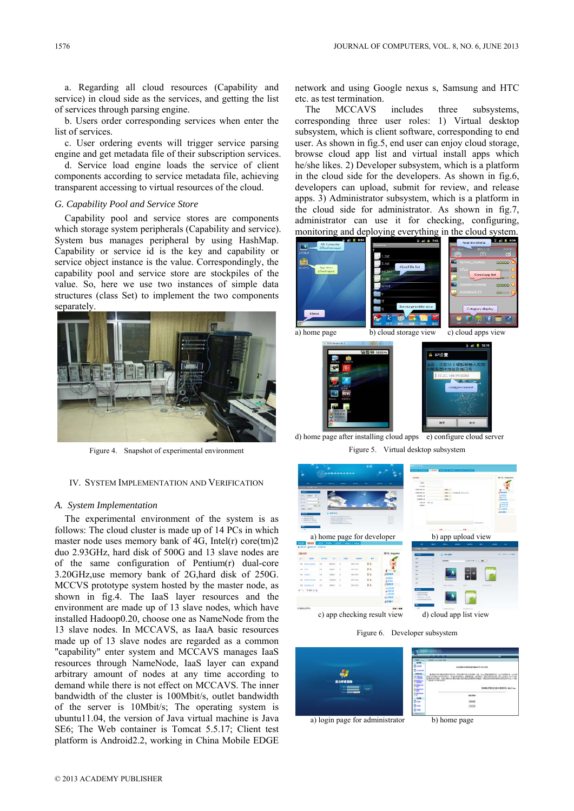a. Regarding all cloud resources (Capability and service) in cloud side as the services, and getting the list of services through parsing engine.

b. Users order corresponding services when enter the list of services.

c. User ordering events will trigger service parsing engine and get metadata file of their subscription services.

d. Service load engine loads the service of client components according to service metadata file, achieving transparent accessing to virtual resources of the cloud.

## *G. Capability Pool and Service Store*

Capability pool and service stores are components which storage system peripherals (Capability and service). System bus manages peripheral by using HashMap. Capability or service id is the key and capability or service object instance is the value. Correspondingly, the capability pool and service store are stockpiles of the value. So, here we use two instances of simple data structures (class Set) to implement the two components separately.



Figure 4. Snapshot of experimental environment

#### IV. SYSTEM IMPLEMENTATION AND VERIFICATION

## *A. System Implementation*

The experimental environment of the system is as follows: The cloud cluster is made up of 14 PCs in which master node uses memory bank of 4G, Intel(r) core(tm)2 duo 2.93GHz, hard disk of 500G and 13 slave nodes are of the same configuration of Pentium(r) dual-core 3.20GHz,use memory bank of 2G,hard disk of 250G. MCCVS prototype system hosted by the master node, as shown in fig.4. The IaaS layer resources and the environment are made up of 13 slave nodes, which have installed Hadoop0.20, choose one as NameNode from the 13 slave nodes. In MCCAVS, as IaaA basic resources made up of 13 slave nodes are regarded as a common "capability" enter system and MCCAVS manages IaaS resources through NameNode, IaaS layer can expand arbitrary amount of nodes at any time according to demand while there is not effect on MCCAVS. The inner bandwidth of the cluster is 100Mbit/s, outlet bandwidth of the server is 10Mbit/s; The operating system is ubuntu11.04, the version of Java virtual machine is Java SE6; The Web container is Tomcat 5.5.17; Client test platform is Android2.2, working in China Mobile EDGE

network and using Google nexus s, Samsung and HTC etc. as test termination.

The MCCAVS includes three subsystems, corresponding three user roles: 1) Virtual desktop subsystem, which is client software, corresponding to end user. As shown in fig.5, end user can enjoy cloud storage, browse cloud app list and virtual install apps which he/she likes. 2) Developer subsystem, which is a platform in the cloud side for the developers. As shown in fig.6, developers can upload, submit for review, and release apps. 3) Administrator subsystem, which is a platform in the cloud side for administrator. As shown in fig.7, administrator can use it for checking, configuring, monitoring and deploying everything in the cloud system.



d) home page after installing cloud apps  $\overline{e}$ ) configure cloud server Figure 5. Virtual desktop subsystem



Figure 6. Developer subsystem



a) login page for administrator b) home page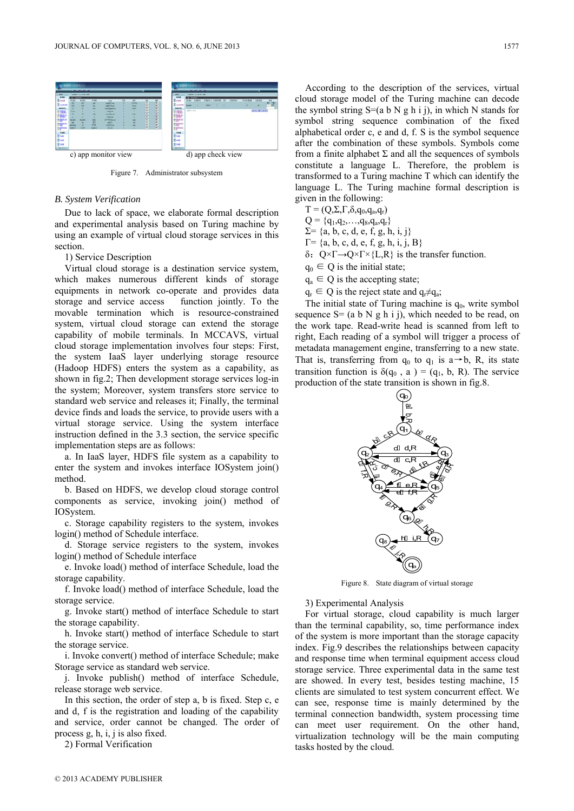

Figure 7. Administrator subsystem

#### *B. System Verification*

Due to lack of space, we elaborate formal description and experimental analysis based on Turing machine by using an example of virtual cloud storage services in this section.

# 1) Service Description

Virtual cloud storage is a destination service system, which makes numerous different kinds of storage equipments in network co-operate and provides data storage and service access function jointly. To the movable termination which is resource-constrained system, virtual cloud storage can extend the storage capability of mobile terminals. In MCCAVS, virtual cloud storage implementation involves four steps: First, the system IaaS layer underlying storage resource (Hadoop HDFS) enters the system as a capability, as shown in fig.2; Then development storage services log-in the system; Moreover, system transfers store service to standard web service and releases it; Finally, the terminal device finds and loads the service, to provide users with a virtual storage service. Using the system interface instruction defined in the 3.3 section, the service specific implementation steps are as follows:

a. In IaaS layer, HDFS file system as a capability to enter the system and invokes interface IOSystem join() method.

b. Based on HDFS, we develop cloud storage control components as service, invoking join() method of IOSystem.

c. Storage capability registers to the system, invokes login() method of Schedule interface.

d. Storage service registers to the system, invokes login() method of Schedule interface

e. Invoke load() method of interface Schedule, load the storage capability.

f. Invoke load() method of interface Schedule, load the storage service.

g. Invoke start() method of interface Schedule to start the storage capability.

h. Invoke start() method of interface Schedule to start the storage service.

i. Invoke convert() method of interface Schedule; make Storage service as standard web service.

j. Invoke publish() method of interface Schedule, release storage web service.

In this section, the order of step a, b is fixed. Step c, e and d, f is the registration and loading of the capability and service, order cannot be changed. The order of process g, h, i, j is also fixed.

2) Formal Verification

According to the description of the services, virtual cloud storage model of the Turing machine can decode the symbol string  $S=(a \ b \ N \ g \ h \ i \ j)$ , in which N stands for symbol string sequence combination of the fixed alphabetical order c, e and d, f. S is the symbol sequence after the combination of these symbols. Symbols come from a finite alphabet  $\Sigma$  and all the sequences of symbols constitute a language L. Therefore, the problem is transformed to a Turing machine T which can identify the language L. The Turing machine formal description is given in the following:

 $T = (Q, \Sigma, \Gamma, \delta, q_0, q_a, q_r)$  $Q = \{q_1, q_2, \ldots, q_8, q_a, q_r\}$ 

 $\Sigma = \{a, b, c, d, e, f, g, h, i, j\}$ 

 $\Gamma = \{a, b, c, d, e, f, g, h, i, j, B\}$ 

δ: Q×Γ→Q×Γ×{L,R} is the transfer function.

 $q_0 \in Q$  is the initial state;

 $q_a \in Q$  is the accepting state;

 $q_r \in Q$  is the reject state and  $q_r \neq q_a$ ;

The initial state of Turing machine is  $q_0$ , write symbol sequence  $S = (a \ b \ N \ g \ h \ i \ j)$ , which needed to be read, on the work tape. Read-write head is scanned from left to right, Each reading of a symbol will trigger a process of metadata management engine, transferring to a new state. That is, transferring from  $q_0$  to  $q_1$  is a→b, R, its state transition function is  $\delta(q_0, a) = (q_1, b, R)$ . The service production of the state transition is shown in fig.8.



Figure 8. State diagram of virtual storage

3) Experimental Analysis

For virtual storage, cloud capability is much larger than the terminal capability, so, time performance index of the system is more important than the storage capacity index. Fig.9 describes the relationships between capacity and response time when terminal equipment access cloud storage service. Three experimental data in the same test are showed. In every test, besides testing machine, 15 clients are simulated to test system concurrent effect. We can see, response time is mainly determined by the terminal connection bandwidth, system processing time can meet user requirement. On the other hand, virtualization technology will be the main computing tasks hosted by the cloud.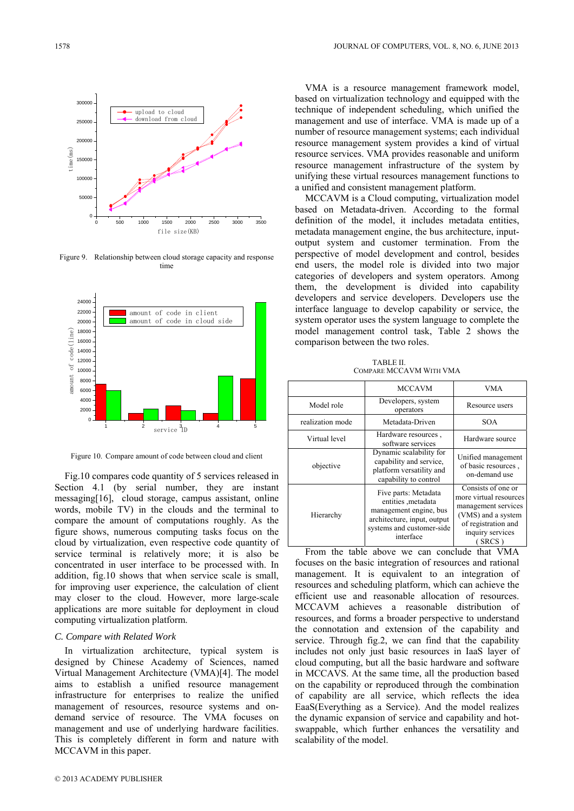

Figure 9. Relationship between cloud storage capacity and response time



Figure 10. Compare amount of code between cloud and client

Fig.10 compares code quantity of 5 services released in Section 4.1 (by serial number, they are instant messaging[16], cloud storage, campus assistant, online words, mobile TV) in the clouds and the terminal to compare the amount of computations roughly. As the figure shows, numerous computing tasks focus on the cloud by virtualization, even respective code quantity of service terminal is relatively more; it is also be concentrated in user interface to be processed with. In addition, fig.10 shows that when service scale is small, for improving user experience, the calculation of client may closer to the cloud. However, more large-scale applications are more suitable for deployment in cloud computing virtualization platform.

## *C. Compare with Related Work*

In virtualization architecture, typical system is designed by Chinese Academy of Sciences, named Virtual Management Architecture (VMA)[4]. The model aims to establish a unified resource management infrastructure for enterprises to realize the unified management of resources, resource systems and ondemand service of resource. The VMA focuses on management and use of underlying hardware facilities. This is completely different in form and nature with MCCAVM in this paper.

VMA is a resource management framework model, based on virtualization technology and equipped with the technique of independent scheduling, which unified the management and use of interface. VMA is made up of a number of resource management systems; each individual resource management system provides a kind of virtual resource services. VMA provides reasonable and uniform resource management infrastructure of the system by unifying these virtual resources management functions to a unified and consistent management platform.

MCCAVM is a Cloud computing, virtualization model based on Metadata-driven. According to the formal definition of the model, it includes metadata entities, metadata management engine, the bus architecture, inputoutput system and customer termination. From the perspective of model development and control, besides end users, the model role is divided into two major categories of developers and system operators. Among them, the development is divided into capability developers and service developers. Developers use the interface language to develop capability or service, the system operator uses the system language to complete the model management control task, Table 2 shows the comparison between the two roles.

TABLE II. COMPARE MCCAVM WITH VMA

|                  | <b>MCCAVM</b>                                                                                                                                  | VMA                                                                                                                                           |
|------------------|------------------------------------------------------------------------------------------------------------------------------------------------|-----------------------------------------------------------------------------------------------------------------------------------------------|
| Model role       | Developers, system<br>operators                                                                                                                | Resource users                                                                                                                                |
| realization mode | Metadata-Driven                                                                                                                                | <b>SOA</b>                                                                                                                                    |
| Virtual level    | Hardware resources,<br>software services                                                                                                       | Hardware source                                                                                                                               |
| objective        | Dynamic scalability for<br>capability and service,<br>platform versatility and<br>capability to control                                        | Unified management<br>of basic resources,<br>on-demand use                                                                                    |
| Hierarchy        | Five parts: Metadata<br>entities , metadata<br>management engine, bus<br>architecture, input, output<br>systems and customer-side<br>interface | Consists of one or<br>more virtual resources<br>management services<br>(VMS) and a system<br>of registration and<br>inquiry services<br>SRCS) |

From the table above we can conclude that VMA focuses on the basic integration of resources and rational management. It is equivalent to an integration of resources and scheduling platform, which can achieve the efficient use and reasonable allocation of resources. MCCAVM achieves a reasonable distribution of resources, and forms a broader perspective to understand the connotation and extension of the capability and service. Through fig.2, we can find that the capability includes not only just basic resources in IaaS layer of cloud computing, but all the basic hardware and software in MCCAVS. At the same time, all the production based on the capability or reproduced through the combination of capability are all service, which reflects the idea EaaS(Everything as a Service). And the model realizes the dynamic expansion of service and capability and hotswappable, which further enhances the versatility and scalability of the model.